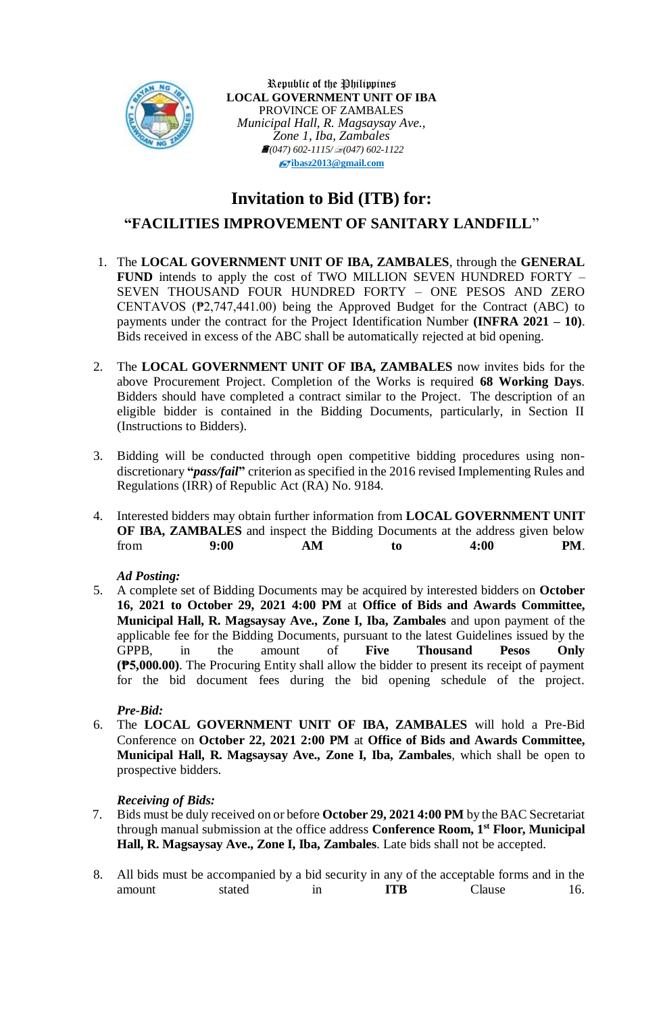

Republic of the Philippines **LOCAL GOVERNMENT UNIT OF IBA** PROVINCE OF ZAMBALES *Municipal Hall, R. Magsaysay Ave., Zone 1, Iba, Zambales (047) 602-1115/(047) 602-1122* **[ibasz2013@gmail.com](mailto:ibasz2013@gmail.com)**

# **Invitation to Bid (ITB) for:**

# **"FACILITIES IMPROVEMENT OF SANITARY LANDFILL**"

- 1. The **LOCAL GOVERNMENT UNIT OF IBA, ZAMBALES**, through the **GENERAL FUND** intends to apply the cost of TWO MILLION SEVEN HUNDRED FORTY – SEVEN THOUSAND FOUR HUNDRED FORTY – ONE PESOS AND ZERO CENTAVOS (₱2,747,441.00) being the Approved Budget for the Contract (ABC) to payments under the contract for the Project Identification Number **(INFRA 2021 – 10)**. Bids received in excess of the ABC shall be automatically rejected at bid opening.
- 2. The **LOCAL GOVERNMENT UNIT OF IBA, ZAMBALES** now invites bids for the above Procurement Project. Completion of the Works is required **68 Working Days**. Bidders should have completed a contract similar to the Project. The description of an eligible bidder is contained in the Bidding Documents, particularly, in Section II (Instructions to Bidders).
- 3. Bidding will be conducted through open competitive bidding procedures using nondiscretionary **"***pass/fail***"** criterion as specified in the 2016 revised Implementing Rules and Regulations (IRR) of Republic Act (RA) No. 9184.
- 4. Interested bidders may obtain further information from **LOCAL GOVERNMENT UNIT OF IBA, ZAMBALES** and inspect the Bidding Documents at the address given below from **9:00 AM to 4:00 PM**.

#### *Ad Posting:*

5. A complete set of Bidding Documents may be acquired by interested bidders on **October 16, 2021 to October 29, 2021 4:00 PM** at **Office of Bids and Awards Committee, Municipal Hall, R. Magsaysay Ave., Zone I, Iba, Zambales** and upon payment of the applicable fee for the Bidding Documents, pursuant to the latest Guidelines issued by the GPPB, in the amount of **Five Thousand Pesos Only (₱5,000.00)**. The Procuring Entity shall allow the bidder to present its receipt of payment for the bid document fees during the bid opening schedule of the project.

## *Pre-Bid:*

6. The **LOCAL GOVERNMENT UNIT OF IBA, ZAMBALES** will hold a Pre-Bid Conference on **October 22, 2021 2:00 PM** at **Office of Bids and Awards Committee, Municipal Hall, R. Magsaysay Ave., Zone I, Iba, Zambales***,* which shall be open to prospective bidders.

## *Receiving of Bids:*

- 7. Bids must be duly received on or before **October 29, 2021 4:00 PM** by the BAC Secretariat through manual submission at the office address **Conference Room, 1st Floor, Municipal Hall, R. Magsaysay Ave., Zone I, Iba, Zambales***.* Late bids shall not be accepted.
- 8. All bids must be accompanied by a bid security in any of the acceptable forms and in the amount stated in **ITB** Clause 16.